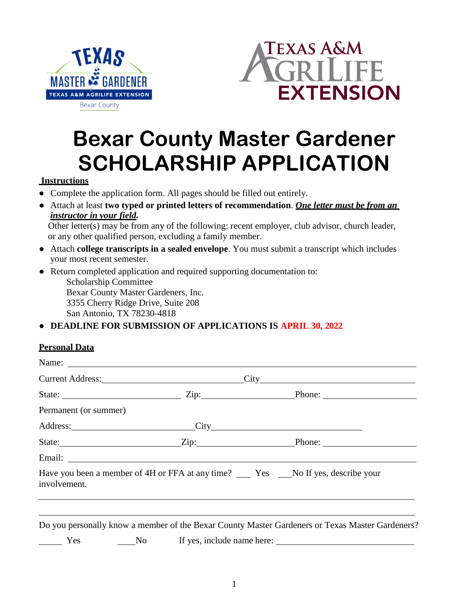



# **Bexar County Master Gardener SCHOLARSHIP APPLICATION**

#### **Instructions**

- Complete the application form. All pages should be filled out entirely.
- Attach at least **two typed or printed letters of recommendation**. *One letter must be from an instructor in your field.*

Other letter(s) may be from any of the following: recent employer, club advisor, church leader, or any other qualified person, excluding a family member.

- Attach **college transcripts in a sealed envelope**. You must submit a transcript which includes your most recent semester.
- Return completed application and required supporting documentation to:

Scholarship Committee Bexar County Master Gardeners, Inc. 3355 Cherry Ridge Drive, Suite 208 San Antonio, TX 78230-4818

## ● **DEADLINE FOR SUBMISSION OF APPLICATIONS IS APRIL 30, 2022**

#### **Personal Data**

|                       | Current Address: 2008         |                                                                                                 |
|-----------------------|-------------------------------|-------------------------------------------------------------------------------------------------|
|                       |                               |                                                                                                 |
| Permanent (or summer) |                               |                                                                                                 |
|                       | Address: City City            |                                                                                                 |
|                       |                               |                                                                                                 |
|                       |                               |                                                                                                 |
| involvement.          |                               | Have you been a member of 4H or FFA at any time? __ Yes _No If yes, describe your               |
|                       |                               | Do you personally know a member of the Bexar County Master Gardeners or Texas Master Gardeners? |
| Yes                   | No If yes, include name here: |                                                                                                 |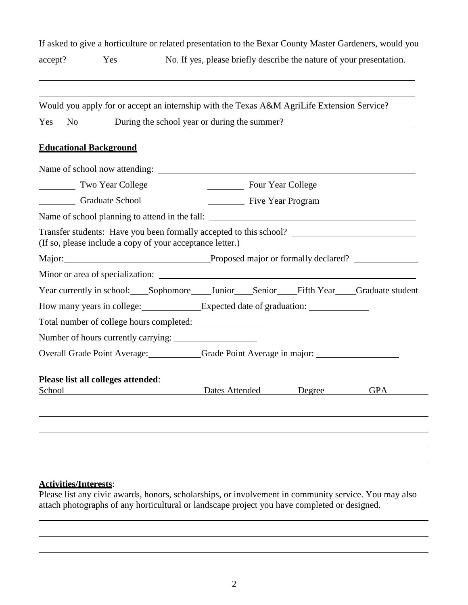|        |                                                                                            |                |                   |        | If asked to give a horticulture or related presentation to the Bexar County Master Gardeners, would you |
|--------|--------------------------------------------------------------------------------------------|----------------|-------------------|--------|---------------------------------------------------------------------------------------------------------|
|        | accept? Yes No. If yes, please briefly describe the nature of your presentation.           |                |                   |        |                                                                                                         |
|        |                                                                                            |                |                   |        |                                                                                                         |
|        | Would you apply for or accept an internship with the Texas A&M AgriLife Extension Service? |                |                   |        |                                                                                                         |
|        |                                                                                            |                |                   |        | Yes No During the school year or during the summer?                                                     |
|        | <b>Educational Background</b>                                                              |                |                   |        |                                                                                                         |
|        |                                                                                            |                |                   |        |                                                                                                         |
|        | Two Year College                                                                           |                | Four Year College |        |                                                                                                         |
|        | Graduate School                                                                            |                | Five Year Program |        |                                                                                                         |
|        |                                                                                            |                |                   |        |                                                                                                         |
|        | (If so, please include a copy of your acceptance letter.)                                  |                |                   |        | Transfer students: Have you been formally accepted to this school? _________________________________    |
|        |                                                                                            |                |                   |        | Major: Proposed major or formally declared?                                                             |
|        |                                                                                            |                |                   |        |                                                                                                         |
|        |                                                                                            |                |                   |        | Year currently in school: Sophomore Junior Senior Fifth Year Graduate student                           |
|        | How many years in college: Expected date of graduation: _________________________          |                |                   |        |                                                                                                         |
|        |                                                                                            |                |                   |        |                                                                                                         |
|        |                                                                                            |                |                   |        |                                                                                                         |
|        | Overall Grade Point Average: Crade Point Average in major:                                 |                |                   |        |                                                                                                         |
| School | Please list all colleges attended:                                                         | Dates Attended |                   | Degree | <b>GPA</b>                                                                                              |
|        |                                                                                            |                |                   |        |                                                                                                         |
|        |                                                                                            |                |                   |        |                                                                                                         |
|        |                                                                                            |                |                   |        |                                                                                                         |
|        |                                                                                            |                |                   |        |                                                                                                         |

## **Activities/Interests**:

Please list any civic awards, honors, scholarships, or involvement in community service. You may also attach photographs of any horticultural or landscape project you have completed or designed.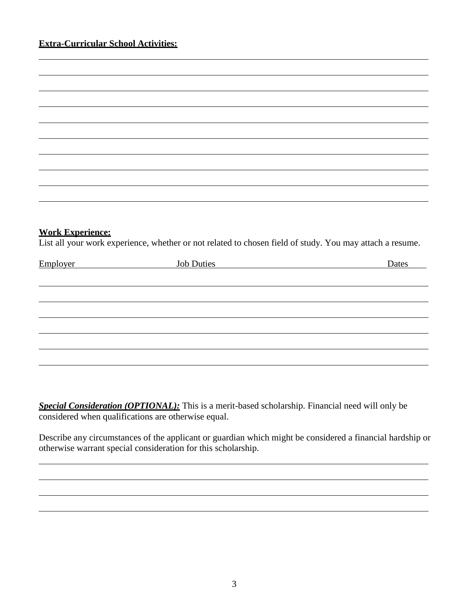#### **Extra-Curricular School Activities:**

| <b>Work Experience:</b> | List all your work experience, whether or not related to chosen field of study. You may attach a resume. |       |
|-------------------------|----------------------------------------------------------------------------------------------------------|-------|
| Employer                | <b>Job Duties</b>                                                                                        | Dates |
|                         |                                                                                                          |       |
|                         |                                                                                                          |       |
|                         |                                                                                                          |       |
|                         |                                                                                                          |       |
|                         |                                                                                                          |       |
|                         |                                                                                                          |       |
|                         |                                                                                                          |       |
|                         |                                                                                                          |       |

*Special Consideration (OPTIONAL):* This is a merit-based scholarship. Financial need will only be considered when qualifications are otherwise equal.

Describe any circumstances of the applicant or guardian which might be considered a financial hardship or otherwise warrant special consideration for this scholarship.